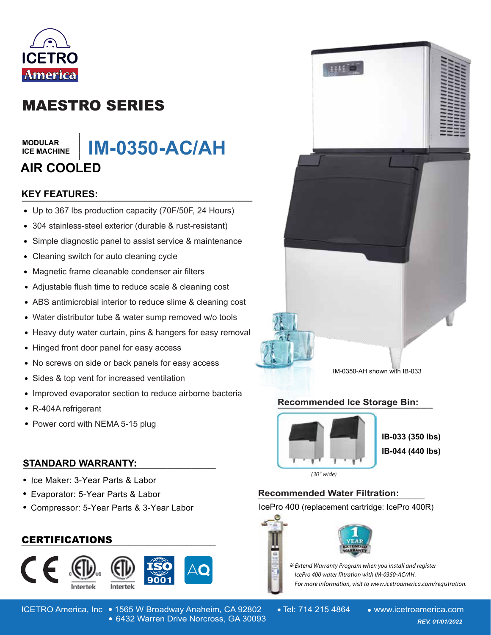

# MAESTRO SERIES

#### **MODULAR ICE MACHINE**

## **\_\_\_\_\_\_\_ IM-0350-AC/AH AIR COOLED**

# **KEY FEATURES: \_\_\_\_\_\_\_\_\_\_\_\_\_\_\_\_\_\_\_\_\_\_\_\_\_\_\_\_\_\_**

- Up to 367 lbs production capacity (70F/50F, 24 Hours)
- 304 stainless-steel exterior (durable & rust-resistant)
- Simple diagnostic panel to assist service & maintenance  $\bullet$
- Cleaning switch for auto cleaning cycle
- Magnetic frame cleanable condenser air filters  $\bullet$
- Adjustable flush time to reduce scale & cleaning cost
- ABS antimicrobial interior to reduce slime & cleaning cost
- Water distributor tube & water sump removed w/o tools
- Heavy duty water curtain, pins & hangers for easy removal
- Hinged front door panel for easy access
- No screws on side or back panels for easy access
- Sides & top vent for increased ventilation
- Improved evaporator section to reduce airborne bacteria
- R-404A refrigerant
- Power cord with NEMA 5-15 plug

#### **STANDARD WARRANTY: \_\_\_\_\_\_\_\_\_\_\_\_\_\_\_\_\_\_\_\_\_\_\_\_\_\_\_\_\_\_\_\_\_\_\_\_\_\_\_\_**

- Ice Maker: 3-Year Parts & Labor
- Evaporator: 5-Year Parts & Labor
- Compressor: 5-Year Parts & 3-Year Labor

### **\_\_\_\_\_\_\_\_\_\_\_\_\_\_\_\_\_\_\_\_\_\_\_\_\_\_\_\_\_\_\_\_\_\_\_\_\_\_\_\_** CERTIFICATIONS







IM-0350-AH shown with IB-033

#### **Recommended Ice Storage Bin: \_\_\_\_\_\_\_\_\_\_\_\_\_\_\_\_\_\_\_\_\_\_\_\_\_\_\_\_\_\_\_\_\_\_\_\_\_\_**



**IB-033 (350 lbs) IB-044 (440 lbs)**

 $(30<sup>''</sup> wide)$ 

# **Recommended Water Filtration: \_\_\_\_\_\_\_\_\_\_\_\_\_\_\_\_\_\_\_**

IcePro 400 (replacement cartridge: IcePro 400R)



※ Extend Warranty Program when you install and register

lcePro 400 water filtration with IM-0350-AC/AH. For more information, visit to www.icetroamerica.com/registration.

ICETRO America, Inc • 1565 W Broadway Anaheim, CA 92802 • Tel: 714 215 4864 • www.icetroamerica.com 6432 Warren Drive Norcross, GA 30093 *REV. 01/01/2022* 6432 Warren Drive Norcross, GA 30093